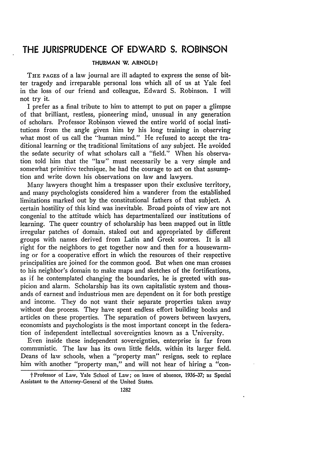## **THE JURISPRUDENCE OF EDWARD S. ROBINSON**

## **THURMAN W. ARNOLDt**

THE PAGES of a law journal are ill adapted to express the sense of bitter tragedy and irreparable personal loss which all of us at Yale feel in the loss of our friend and colleague, Edward S. Robinson. I will not try it.

I prefer as a final tribute to him to attempt to put on paper a glimpse of that brilliant, restless, pioneering mind, unusual in any generation of scholars. Professor Robinson viewed the entire world of social institutions from the angle given him by his long training in observing what most of us call the "human mind." He refused to accept the traditional learning or the traditional limitations of any subject. He avoided the sedate security of what scholars call a "field." When his observation told him that the "law" must necessarily be a very simple and somewhat primitive technique, he had the courage to act on that assumption and write down his observations on law and lawyers.

Many lawyers thought him a trespasser upon their exclusive territory, and many psychologists considered him a wanderer from the established limitations marked out **by** the constitutional fathers of that subject. **A** certain hostility of this kind was inevitable. Broad points of view are not congenial to the attitude which has departmentalized our institutions of learning. The queer country of scholarship has been mapped out in little irregular patches of domain, staked out and appropriated **by** different groups with names derived from Latin and Greek sources. It is all right for the neighbors to get together now and then for a housewarm**ing** or for a cooperative effort in which the resources of their respective principalities are joined for the common good. But when one man crosses to his neighbor's domain to make maps and sketches of the fortifications, as if lie contemplated changing the boundaries, he is greeted with suspicion and alarm. Scholarship has its own capitalistic system and thousands of earnest and industrious men are dependent on it for both prestige and income. They do not want their separate properties taken away without due process. They have spent endless effort building books and articles on these properties. The separation of powers between lawyers, economists and psychologists is the most important concept in the federation of independent intellectual sovereignties known as a University.

Even inside these independent sovereignties, enterprise is far from communistic. The law has its own little fields, within its larger field. Deans of law schools, when a "property man" resigns, seek to replace him with another "property man," and will not hear of hiring a "con-

tProfessor of Law, Yale School of Law; on leave of absence, 1936-37; as Special Assistant to the Attorney-General of the United States.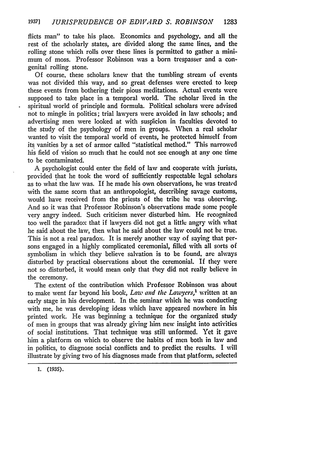flicts man" to take his place. Economics and psychology, and all the rest of the scholarly states, are divided along the same lines, and the rolling stone which rolls over these lines is permitted to gather a minimum of moss. Professor Robinson was a born trespasser and a congenital rolling stone.

Of course, these scholars knew that the tumbling stream of events was not divided this way, and so great defenses were erected to keep these events from bothering their pious meditations. Actual events were supposed to take place in a temporal world. The scholar lived in the spiritual world of principle and formula. Political scholars were advised not to mingle in politics; trial lawyers were avoided in law schools; and advertising men were looked at with suspicion in faculties devoted to the study of the psychology of men in groups. When a real scholar wanted to visit the temporal world of events, he protected himself from its vanities by a set of armor called "statistical method." This narrowed his field of vision so much that he could not see enough at any one time to be contaminated.

A psychologist could enter the field of law and cooperate with jurists, provided that he took the word of sufficiently respectable legal scholars as to what the law was. If he made his own observations, he was treated with the same scorn that an anthropologist, describing savage customs, would have received from the priests of the tribe he was observing. And so it was that Professor Robinson's observations made some people very angry indeed. Such criticism never disturbed him. He recognized too well the paradox that if lawyers did not get a little angry with what he said about the law, then what he said about the law could not be true. This is not a real paradox. It is merely another way of saying that persons engaged in a highly complicated ceremonial, filled with all sorts of symbolism in which they believe salvation is to be found, are always disturbed by practical observations about the ceremonial. If they were not so disturbed, it would mean only that they did not really believe in the ceremony.

The extent of the contribution which Professor Robinson was about to make went far beyond his book, *Law and* the *Lawyers,'* written at an early stage in his development. In the seminar which he was conducting with me, he was developing ideas which have appeared nowhere in his printed work. He was beginning a technique for the organized study of men in groups that was already giving him new insight into activities of social institutions. That technique was still unformed. Yet it gave him a platform on which to observe the habits of men both in law and in politics, to diagnose social conflicts and to predict the results. I will illustrate by giving two of his diagnoses made from that platform, selected

<sup>1. (1935).</sup>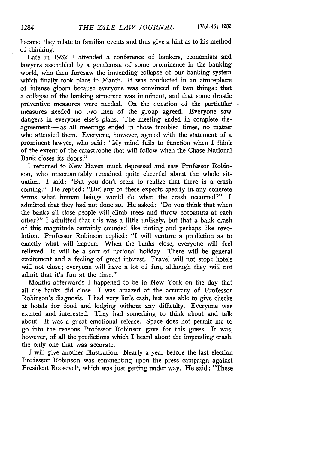because they relate to familiar events and thus give a hint as to his method of thinking.

Late in 1932 I attended a conference of bankers, economists and lawyers assembled by a gentleman of some prominence in the banking world, who then foresaw the impending collapse of our banking system which finally took place in March. It was conducted in an atmosphere of intense gloom because everyone was convinced of two things: that a collapse of the banking structure was imminent, and that some drastic preventive measures were needed. On the question of the particular measures needed no two men of the group agreed. Everyone saw dangers in everyone else's plans. The meeting ended in complete disagreement - as all meetings ended in those troubled times, no matter who attended them. Everyone, however, agreed with the statement of a prominent lawyer, who said: "My mind fails to function when I think of the extent of the catastrophe that will follow when the Chase National Bank closes its doors."

I returned to New Haven much depressed and saw Professor Robinson, who unaccountably remained quite cheerful about the whole situation. I said: "But you don't seem to realize that there is a crash coming." He replied: "Did any of these experts specify in. any concrete terms what human beings would do when the crash occurred?" I admitted that they had not done so. He asked: "Do you think that when the banks all close people will climb trees and throw cocoanuts at each other?" I admitted that this was a little unlikely, but that a bank crash of this magnitude certainly sounded like rioting and perhaps like revolution. Professor Robinson replied: "I will venture a prediction as to exactly what will happen. When the banks close, everyone will feel relieved. It will be a sort of national holiday. There will be general excitement and a feeling of great interest. Travel will not stop; hotels will not close; everyone will have a lot of fun, although they will not admit that it's fun at the time."

Months afterwards I happened to be in New York on the day that all the banks did close. I was amazed at the accuracy of Professor Robinson's diagnosis. I had very little cash, but was able to give checks at hotels for food and lodging without any difficulty. Everyone was excited and interested. They had something to think about and talk about. It was a great emotional release. Space does not permit me to go into the reasons Professor Robinson gave for this guess. It was, however, of all the predictions which I heard about the impending crash, the only one that was accurate.

I will give another illustration. Nearly a year before the last election Professor Robinson was commenting upon the press campaign against President Roosevelt, which was just getting under way. He said: "These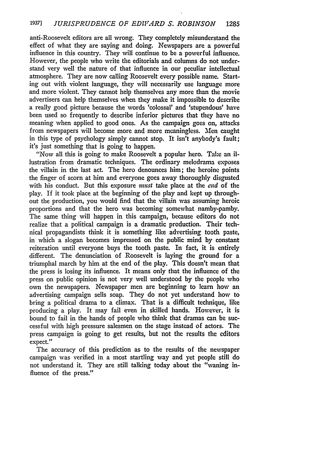anti-Roosevelt editors are all wrong. They completely misunderstand the effect of what they are saying and doing. Newspapers are a powerful influence in this country. They will continue to be a powerful influence. However, the people who write the editorials and columns do not understand very well the nature of that influence in our peculiar intellectual atmosphere. They are now calling Roosevelt every possible name. Starting out with violent language, they will necessarily use language more and more violent. They cannot help themselves any more than the movie advertisers can help themselves when they make it impossible to describe a really good picture because the words 'colossal' and 'stupendous' have been used so frequently to describe inferior pictures that they have no meaning when applied to good ones. As the campaign goes on, attacks from newspapers will become more and more meaningless. Men caught in this type of psychology simply cannot stop. It isn't anybody's fault; it's just something that is going to happen.

"Now all this is going to make Roosevelt a popular hero. Take an illustration from dramatic techniques. The ordinary melodrama exposes the villain in the last act. The hero denounces him; the heroine points the finger of scorn at him and everyone goes away thoroughly disgusted with his conduct. But this exposure must take place at the *end* of the play. If it took place at the beginning of the play and kept up throughout the production, you would find that the villain was assuming heroic proportions and that the hero was becoming somewhat namby-pamby. The same thing will happen in this campaign, because editors do not realize that a political campaign is a dramatic production. Their technical propagandists think it is something like advertising tooth paste, in which a slogan becomes impressed on the public mind by constant reiteration until everyone buys the tooth paste. In fact, it is entirely different. The denunciation of Roosevelt is laying the ground for a triumphal march by him at the end of the play. This doesn't mean that the press is losing its influence. It means only that the influence of the press on public opinion is not very well understood by the people who own the newspapers. Newspaper men are beginning to learn how an advertising campaign sells soap. They do not yet understand how to bring a political drama to a climax. That is a difficult technique, like producing a play. It may fail even in skilled hands. However, it is bound to fail in the hands of people who think that dramas can be successful with high pressure salesmen on the stage instead of actors. The press campaign is going to get results, but not the results the editors expect."

The accuracy of this prediction as to the results of the newspaper campaign was verified in a most startling way and yet people still do not understand it. They are still talking today about the "waning influence of the press."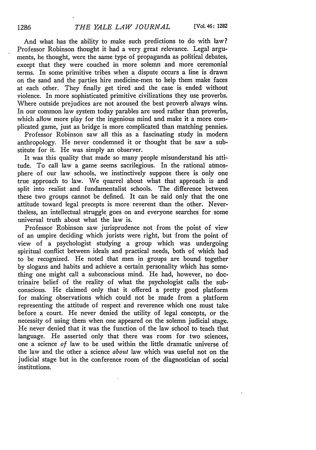And what has the ability to make such predictions to do with law? Professor Robinson thought it had a very great relevance. Legal arguments, he thought, were the same type of propaganda as political debates, except that they were couched in more solemn and more ceremonial terms. In some primitive tribes when a dispute occurs a line is drawn on the sand and the parties hire medicine-men to help them make faces at each other. They finally get tired and the case is ended without violence. In more sophisticated primitive civilizations they use proverbs. Where outside prejudices are not aroused the best proverb always wins. In our common law system today parables are used rather than proverbs, which allow more play for the ingenious mind and make it a more complicated game, just as bridge is more complicated than matching pennies.

Professor Robinson saw all this as a fascinating study in modern anthropology. He never condemned it or thought that he saw a substitute for it. He was simply an observer.

It was this quality that made so many people misunderstand his attitude. To call law a game seems sacrilegious. In the rational atmosphere of our law schools, we instinctively suppose there is only one true approach to law. We quarrel about what that approach is and split into realist and fundamentalist schools. The difference between these two groups cannot be defined. It can be said only that the one attitude toward legal precepts is more reverent than the other. Nevertheless, an intellectual struggle goes on and everyone searches for some universal truth about what the law is.

Professor Robinson saw jurisprudence not from the point of view of an umpire deciding which jurists were right, but from the point of view of a psychologist studying a group which was undergoing spiritual conflict between ideals and practical needs, both of which had to be recognized. He noted that men in groups are bound together **by** slogans and habits and achieve a certain personality which has something one might call a subconscious mind. He had, however, no doctrinaire belief of the reality of what the psychologist calls the subconscious. He claimed only that it offered a pretty good platform for making observations which could not be made from a platform representing the attitude of respect and reverence which one must take before a court. He never denied the utility of legal concepts, or the necessity of using them when one appeared on the solemn judicial stage. He never denied that it was the function of the law school to teach that language. He asserted only that there was room for two sciences, one a science of law to be used within the little dramatic universe of the law and the other a science *about* law which was useful not on the judicial stage but in the conference room of the diagnostician of social institutions.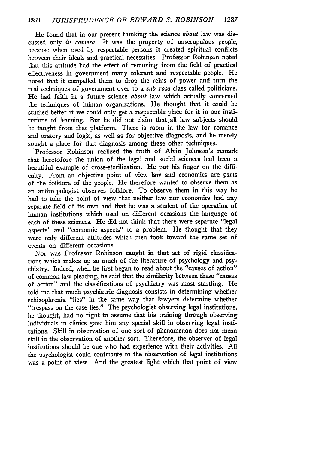He found that in our present thinking the science *about* law was discussed only *in* camera. It was the property of unscrupulous people, because when used by respectable persons it created spiritual conflicts between their ideals and practical necessities. Professor Robinson noted that this attitude had the effect of removing from the field of practical effectiveness in government many tolerant and respectable people. He noted that it compelled them to drop the reins of power and turn the real techniques of government over to a *sub rosa* class called politicians. He had faith in a future science *about* law which actually concerned the techniques of human organizations. He thought that it could be studied better if we could only get a respectable place for it in our institutions of learning. But he did not claim that all law subjects should be taught from that platform. There is room in the law for romance and oratory and logic, as well as for objective diagnosis, and he merely sought a place for that diagnosis among these other techniques.

Professor Robinson realized the truth of Alvin Johnson's remark that heretofore the union of the legal and social sciences had been a beautiful example of cross-sterilization. He put his finger on the difficulty. From an objective point of view law and economics are parts of the folklore of the people. He therefore wanted to observe them as an anthropologist observes folklore. To observe them in this way he had to take the point of view that neither law nor economics had any separate field of its own and that he was a student of the operation of human institutions which used on different occasions the language of each of these sciences. He did not think that there were separate "legal aspects" and "economic aspects" to a problem. He thought that they were only different attitudes which men took toward the same set of events on different occasions.

Nor was Professor Robinson caught in that set of rigid classifications which makes up so much of the literature of psychology and psychiatry. Indeed, when he first began to read about the "causes of action" of common law pleading, he said that the similarity between these "causes of action" and the classifications of psychiatry was most startling. He told me that much psychiatric diagnosis consists in determining whether schizophrenia "lies" in the same way that lawyers determine whether "trespass on the case lies." The psychologist observing legal institutions, he thought, had no right to assume that his training through observing individuals in clinics gave him any special skill in observing legal institutions. Skill in observation of one sort of phenomenon does not mean skill in the observation of another sort. Therefore, the observer of legal institutions should be one who had experience with their activities. All the psychologist could contribute to the observation of legal institutions was a point of view. And the greatest light which that point of view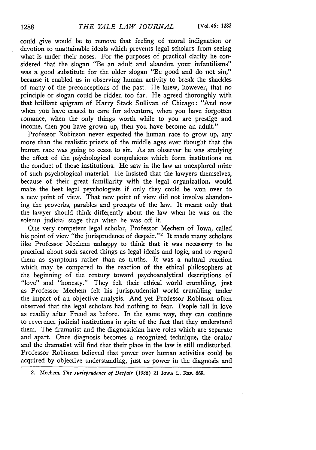could give would be to remove that feeling of moral indignation or devotion to unattainable ideals which prevents legal scholars from seeing what is under their noses. For the purposes of practical clarity he considered that the slogan "Be an adult and abandon your infantilisms" was a good substitute for the older slogan "Be good and do not sin," because it enabled us in observing human activity to break the shackles of many of the preconceptions of the past. He knew, however, that no principle or slogan could be ridden too far. He agreed thoroughly with that brilliant epigram of Harry Stack Sullivan of Chicago: "And now when you have ceased to care for adventure, when you have forgotten romance, when the only things worth while to you are prestige and income, then you have grown up, then you have become an adult."

Professor Robinson never expected the human race to grow up, any more than the realistic priests of the middle ages ever thought that the human race was going to cease to sin. As an observer he was studying the effect of the psychological compulsions which form institutions on the conduct of those institutions. He saw in the law an unexplored mine of such psychological material. He insisted that the lawyers themselves, because of their great familiarity with the legal organization, would make the best legal psychologists if only they could be won over to a new point of view. That new point of view did not involve abandoning the proverbs, parables and precepts of the law. It meant only that the lawyer should think differently about the law when he was on the solemn judicial stage than when he was off it.

One very competent legal scholar, Professor Mechem of Iowa, called his point of view "the jurisprudence of despair."<sup>2</sup> It made many scholars like Professor Mechem unhappy to think that it was necessary to be practical about such sacred things as legal ideals and logic, and to regard them as symptoms rather than as truths. It was a natural reaction which may be compared to the reaction of the ethical philosophers at the beginning of the century toward psychoanalytical descriptions of "love" and "honesty." They felt their ethical world crumbling, just as Professor Mechem felt his jurisprudential world crumbling under the impact of an objective analysis. And yet Professor Robinson often observed that the legal scholars had nothing to fear. People fall in love as readily after Freud as before. In the same way, they can continue to reverence judicial institutions in spite of the fact that they understand them. The dramatist and the diagnostician have roles which are separate and apart. Once diagnosis becomes a recognized technique, the orator and the dramatist will find that their place in the law is still undisturbed. Professor Robinson believed that power over human activities could be acquired by objective understanding, just as power in the diagnosis and

<sup>2.</sup> Mechem, *The Jurispndence of Despair* **(1936) 21** IowA L. REv. **669.**